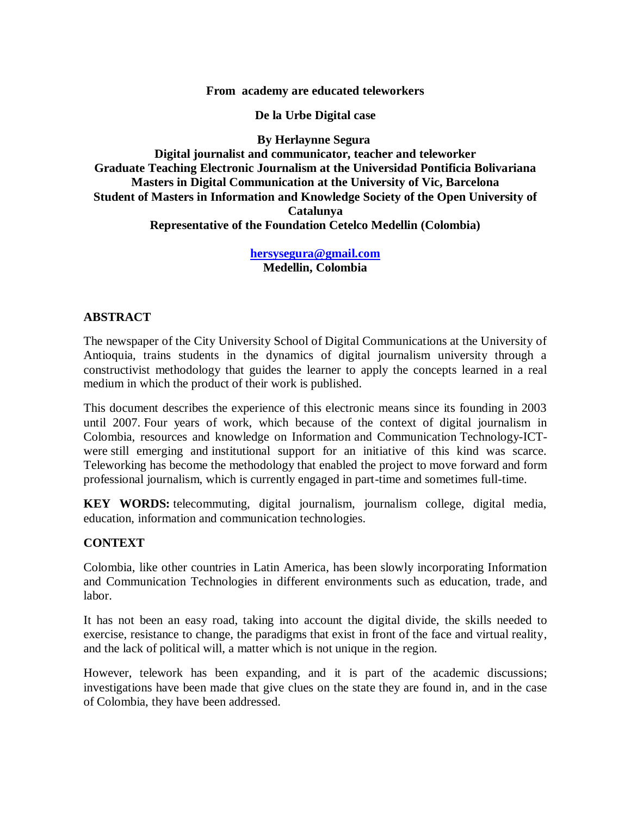**From academy are educated teleworkers**

**De la Urbe Digital case**

**By Herlaynne Segura**

**Digital journalist and communicator, teacher and teleworker Graduate Teaching Electronic Journalism at the Universidad Pontificia Bolivariana Masters in Digital Communication at the University of Vic, Barcelona Student of Masters in Information and Knowledge Society of the Open University of Catalunya Representative of the Foundation Cetelco Medellin (Colombia)**

> **[hersysegura@gmail.com](mailto:hersysegura@gmail.com) Medellin, Colombia**

### **ABSTRACT**

The newspaper of the City University School of Digital Communications at the University of Antioquia, trains students in the dynamics of digital journalism university through a constructivist methodology that guides the learner to apply the concepts learned in a real medium in which the product of their work is published.

This document describes the experience of this electronic means since its founding in 2003 until 2007. Four years of work, which because of the context of digital journalism in Colombia, resources and knowledge on Information and Communication Technology-ICTwere still emerging and institutional support for an initiative of this kind was scarce. Teleworking has become the methodology that enabled the project to move forward and form professional journalism, which is currently engaged in part-time and sometimes full-time.

**KEY WORDS:** telecommuting, digital journalism, journalism college, digital media, education, information and communication technologies.

### **CONTEXT**

Colombia, like other countries in Latin America, has been slowly incorporating Information and Communication Technologies in different environments such as education, trade, and labor.

It has not been an easy road, taking into account the digital divide, the skills needed to exercise, resistance to change, the paradigms that exist in front of the face and virtual reality, and the lack of political will, a matter which is not unique in the region.

However, telework has been expanding, and it is part of the academic discussions; investigations have been made that give clues on the state they are found in, and in the case of Colombia, they have been addressed.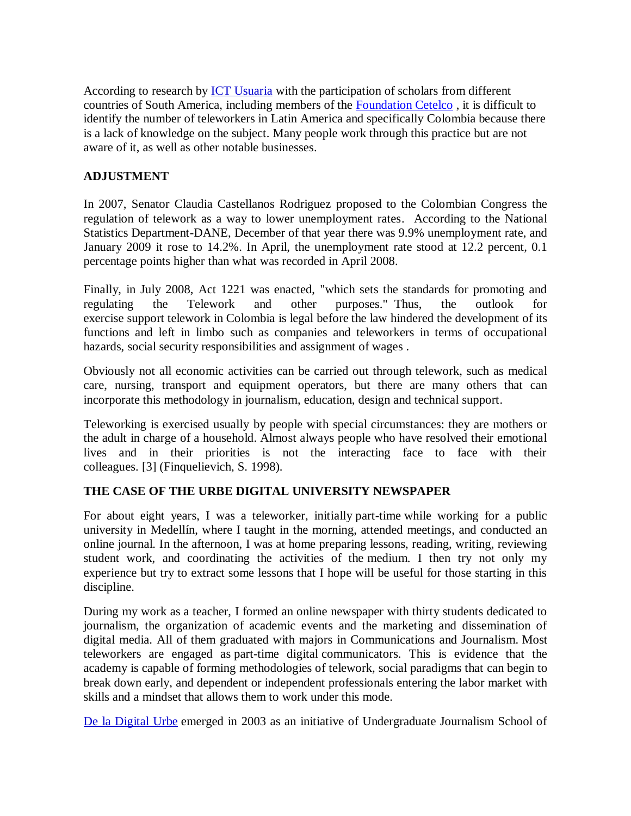According to research by [ICT Usuaria](http://www.google.com/url?q=http%3A%2F%2Fwww.tic.org.ar%2F&sa=D&sntz=1&usg=AFQjCNH490H7AdYzn8uCsYVyJx15s9A6hQ) with the participation of scholars from different countries of South America, including members of the [Foundation Cetelco](http://www.google.com/url?q=http%3A%2F%2Fwww.cetelco.org&sa=D&sntz=1&usg=AFQjCNF3CQsr8XE4VcOtEfM0YQwixwccig) , it is difficult to identify the number of teleworkers in Latin America and specifically Colombia because there is a lack of knowledge on the subject. Many people work through this practice but are not aware of it, as well as other notable businesses.

# **ADJUSTMENT**

In 2007, Senator Claudia Castellanos Rodriguez proposed to the Colombian Congress the regulation of telework as a way to lower unemployment rates. According to the National Statistics Department-DANE, December of that year there was 9.9% unemployment rate, and January 2009 it rose to 14.2%. In April, the unemployment rate stood at 12.2 percent, 0.1 percentage points higher than what was recorded in April 2008.

Finally, in July 2008, Act 1221 was enacted, "which sets the standards for promoting and regulating the Telework and other purposes." Thus, the outlook for exercise support telework in Colombia is legal before the law hindered the development of its functions and left in limbo such as companies and teleworkers in terms of occupational hazards, social security responsibilities and assignment of wages .

Obviously not all economic activities can be carried out through telework, such as medical care, nursing, transport and equipment operators, but there are many others that can incorporate this methodology in journalism, education, design and technical support.

Teleworking is exercised usually by people with special circumstances: they are mothers or the adult in charge of a household. Almost always people who have resolved their emotional lives and in their priorities is not the interacting face to face with their colleagues. [3] (Finquelievich, S. 1998).

# **THE CASE OF THE URBE DIGITAL UNIVERSITY NEWSPAPER**

For about eight years, I was a teleworker, initially part-time while working for a public university in Medellín, where I taught in the morning, attended meetings, and conducted an online journal. In the afternoon, I was at home preparing lessons, reading, writing, reviewing student work, and coordinating the activities of the medium. I then try not only my experience but try to extract some lessons that I hope will be useful for those starting in this discipline.

During my work as a teacher, I formed an online newspaper with thirty students dedicated to journalism, the organization of academic events and the marketing and dissemination of digital media. All of them graduated with majors in Communications and Journalism. Most teleworkers are engaged as part-time digital communicators. This is evidence that the academy is capable of forming methodologies of telework, social paradigms that can begin to break down early, and dependent or independent professionals entering the labor market with skills and a mindset that allows them to work under this mode.

[De la Digital Urbe](http://www.google.com/url?q=http%3A%2F%2Fwww.delaurbedigital.udea.edu.co&sa=D&sntz=1&usg=AFQjCNEOUxpl5CjIlti6i6XKX0zwU2JT9g) emerged in 2003 as an initiative of Undergraduate Journalism School of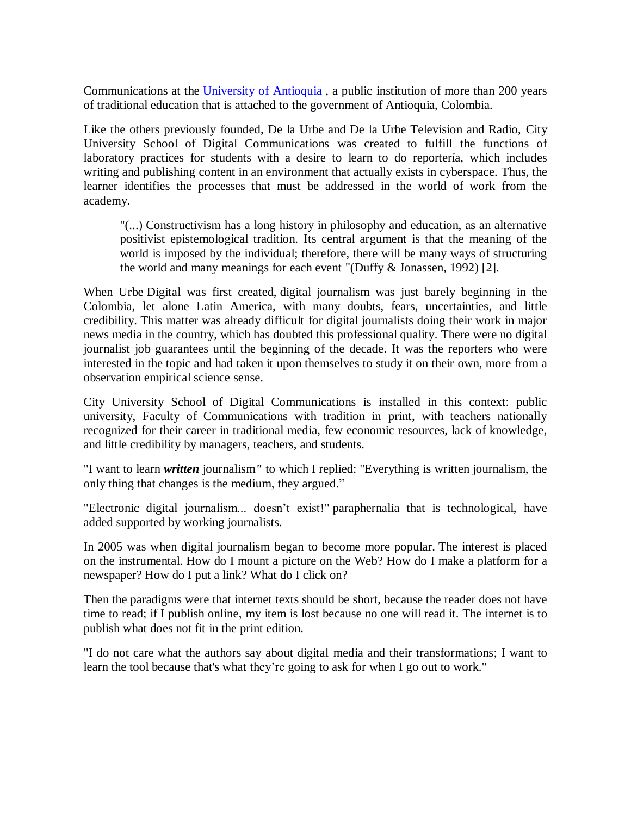Communications at the [University of Antioquia](http://www.google.com/url?q=http%3A%2F%2Fwww.udea.edu.co%2F&sa=D&sntz=1&usg=AFQjCNFVTQLQd79ZjoCDw8pBeHYMMdo2rQ) , a public institution of more than 200 years of traditional education that is attached to the government of Antioquia, Colombia.

Like the others previously founded, De la Urbe and De la Urbe Television and Radio, City University School of Digital Communications was created to fulfill the functions of laboratory practices for students with a desire to learn to do reportería, which includes writing and publishing content in an environment that actually exists in cyberspace. Thus, the learner identifies the processes that must be addressed in the world of work from the academy.

"(...) Constructivism has a long history in philosophy and education, as an alternative positivist epistemological tradition. Its central argument is that the meaning of the world is imposed by the individual; therefore, there will be many ways of structuring the world and many meanings for each event "(Duffy & Jonassen, 1992) [2].

When Urbe Digital was first created, digital journalism was just barely beginning in the Colombia, let alone Latin America, with many doubts, fears, uncertainties, and little credibility. This matter was already difficult for digital journalists doing their work in major news media in the country, which has doubted this professional quality. There were no digital journalist job guarantees until the beginning of the decade. It was the reporters who were interested in the topic and had taken it upon themselves to study it on their own, more from a observation empirical science sense.

City University School of Digital Communications is installed in this context: public university, Faculty of Communications with tradition in print, with teachers nationally recognized for their career in traditional media, few economic resources, lack of knowledge, and little credibility by managers, teachers, and students.

"I want to learn *written* journalism*"* to which I replied: "Everything is written journalism, the only thing that changes is the medium, they argued."

"Electronic digital journalism... doesn't exist!" paraphernalia that is technological, have added supported by working journalists.

In 2005 was when digital journalism began to become more popular. The interest is placed on the instrumental. How do I mount a picture on the Web? How do I make a platform for a newspaper? How do I put a link? What do I click on?

Then the paradigms were that internet texts should be short, because the reader does not have time to read; if I publish online, my item is lost because no one will read it. The internet is to publish what does not fit in the print edition.

"I do not care what the authors say about digital media and their transformations; I want to learn the tool because that's what they're going to ask for when I go out to work."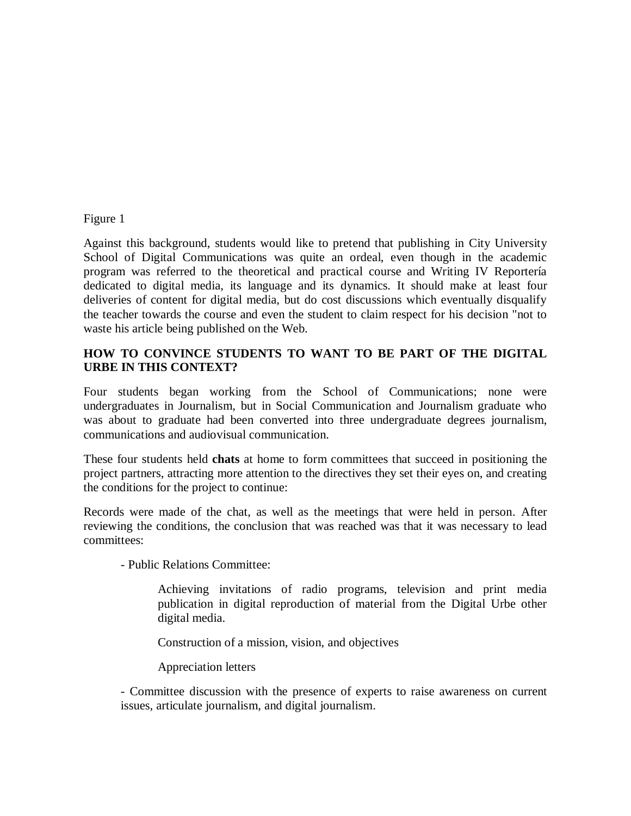### Figure 1

Against this background, students would like to pretend that publishing in City University School of Digital Communications was quite an ordeal, even though in the academic program was referred to the theoretical and practical course and Writing IV Reportería dedicated to digital media, its language and its dynamics. It should make at least four deliveries of content for digital media, but do cost discussions which eventually disqualify the teacher towards the course and even the student to claim respect for his decision "not to waste his article being published on the Web.

# **HOW TO CONVINCE STUDENTS TO WANT TO BE PART OF THE DIGITAL URBE IN THIS CONTEXT?**

Four students began working from the School of Communications; none were undergraduates in Journalism, but in Social Communication and Journalism graduate who was about to graduate had been converted into three undergraduate degrees journalism, communications and audiovisual communication.

These four students held **chats** at home to form committees that succeed in positioning the project partners, attracting more attention to the directives they set their eyes on, and creating the conditions for the project to continue:

Records were made of the chat, as well as the meetings that were held in person. After reviewing the conditions, the conclusion that was reached was that it was necessary to lead committees:

- Public Relations Committee:

Achieving invitations of radio programs, television and print media publication in digital reproduction of material from the Digital Urbe other digital media.

Construction of a mission, vision, and objectives

Appreciation letters

- Committee discussion with the presence of experts to raise awareness on current issues, articulate journalism, and digital journalism.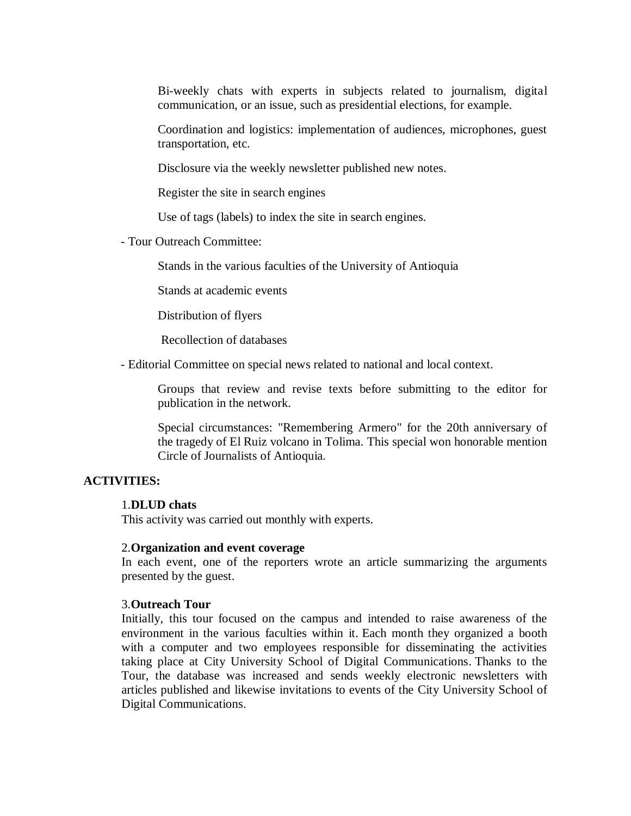Bi-weekly chats with experts in subjects related to journalism, digital communication, or an issue, such as presidential elections, for example.

Coordination and logistics: implementation of audiences, microphones, guest transportation, etc.

Disclosure via the weekly newsletter published new notes.

Register the site in search engines

Use of tags (labels) to index the site in search engines.

- Tour Outreach Committee:

Stands in the various faculties of the University of Antioquia

Stands at academic events

Distribution of flyers

Recollection of databases

- Editorial Committee on special news related to national and local context.

Groups that review and revise texts before submitting to the editor for publication in the network.

Special circumstances: "Remembering Armero" for the 20th anniversary of the tragedy of El Ruiz volcano in Tolima. This special won honorable mention Circle of Journalists of Antioquia.

### **ACTIVITIES:**

#### 1.**DLUD chats**

This activity was carried out monthly with experts.

#### 2.**Organization and event coverage**

In each event, one of the reporters wrote an article summarizing the arguments presented by the guest.

#### 3.**Outreach Tour**

Initially, this tour focused on the campus and intended to raise awareness of the environment in the various faculties within it. Each month they organized a booth with a computer and two employees responsible for disseminating the activities taking place at City University School of Digital Communications. Thanks to the Tour, the database was increased and sends weekly electronic newsletters with articles published and likewise invitations to events of the City University School of Digital Communications.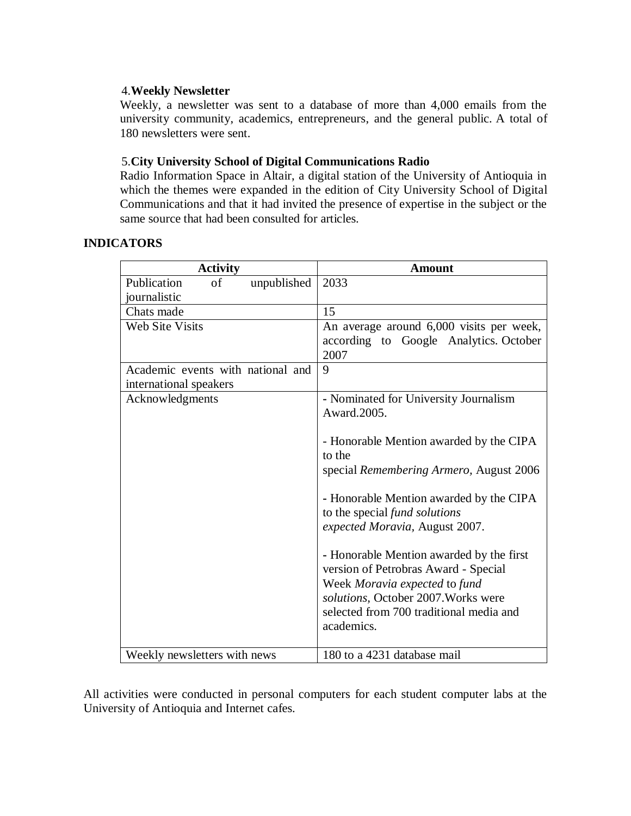# 4.**Weekly Newsletter**

Weekly, a newsletter was sent to a database of more than 4,000 emails from the university community, academics, entrepreneurs, and the general public. A total of 180 newsletters were sent.

# 5.**City University School of Digital Communications Radio**

Radio Information Space in Altair, a digital station of the University of Antioquia in which the themes were expanded in the edition of City University School of Digital Communications and that it had invited the presence of expertise in the subject or the same source that had been consulted for articles.

## **INDICATORS**

| <b>Activity</b>                   | <b>Amount</b>                            |
|-----------------------------------|------------------------------------------|
| Publication<br>unpublished<br>of  | 2033                                     |
| journalistic                      |                                          |
| Chats made                        | 15                                       |
| <b>Web Site Visits</b>            | An average around 6,000 visits per week, |
|                                   | according to Google Analytics. October   |
|                                   | 2007                                     |
| Academic events with national and | 9                                        |
| international speakers            |                                          |
| Acknowledgments                   | - Nominated for University Journalism    |
|                                   | Award.2005.                              |
|                                   |                                          |
|                                   | - Honorable Mention awarded by the CIPA  |
|                                   | to the                                   |
|                                   | special Remembering Armero, August 2006  |
|                                   | - Honorable Mention awarded by the CIPA  |
|                                   | to the special fund solutions            |
|                                   | expected Moravia, August 2007.           |
|                                   |                                          |
|                                   | - Honorable Mention awarded by the first |
|                                   | version of Petrobras Award - Special     |
|                                   | Week Moravia expected to fund            |
|                                   | solutions, October 2007. Works were      |
|                                   | selected from 700 traditional media and  |
|                                   | academics.                               |
|                                   |                                          |
| Weekly newsletters with news      | 180 to a 4231 database mail              |

All activities were conducted in personal computers for each student computer labs at the University of Antioquia and Internet cafes.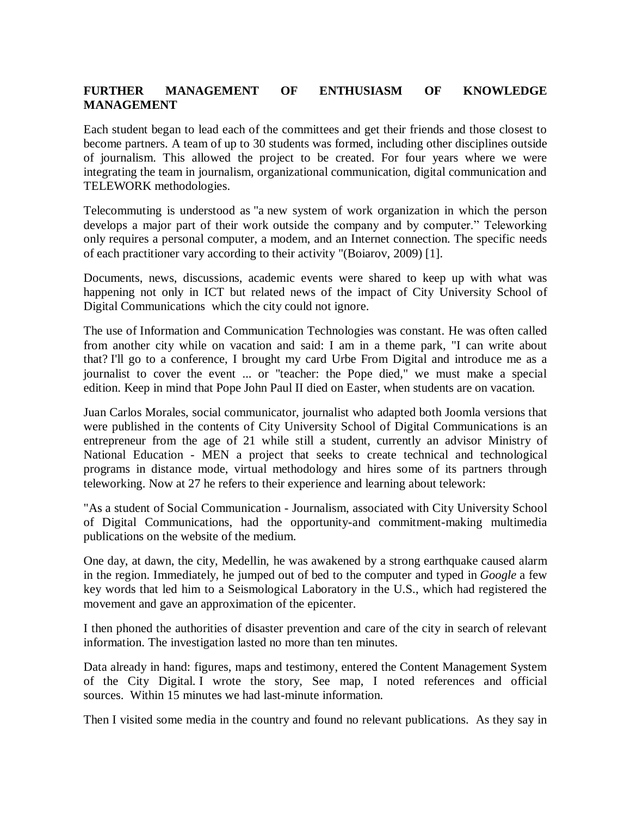# **FURTHER MANAGEMENT OF ENTHUSIASM OF KNOWLEDGE MANAGEMENT**

Each student began to lead each of the committees and get their friends and those closest to become partners. A team of up to 30 students was formed, including other disciplines outside of journalism. This allowed the project to be created. For four years where we were integrating the team in journalism, organizational communication, digital communication and TELEWORK methodologies.

Telecommuting is understood as "a new system of work organization in which the person develops a major part of their work outside the company and by computer." Teleworking only requires a personal computer, a modem, and an Internet connection. The specific needs of each practitioner vary according to their activity "(Boiarov, 2009) [1].

Documents, news, discussions, academic events were shared to keep up with what was happening not only in ICT but related news of the impact of City University School of Digital Communications which the city could not ignore.

The use of Information and Communication Technologies was constant. He was often called from another city while on vacation and said: I am in a theme park, "I can write about that? I'll go to a conference, I brought my card Urbe From Digital and introduce me as a journalist to cover the event ... or "teacher: the Pope died," we must make a special edition. Keep in mind that Pope John Paul II died on Easter, when students are on vacation.

Juan Carlos Morales, social communicator, journalist who adapted both Joomla versions that were published in the contents of City University School of Digital Communications is an entrepreneur from the age of 21 while still a student, currently an advisor Ministry of National Education - MEN a project that seeks to create technical and technological programs in distance mode, virtual methodology and hires some of its partners through teleworking. Now at 27 he refers to their experience and learning about telework:

"As a student of Social Communication - Journalism, associated with City University School of Digital Communications, had the opportunity-and commitment-making multimedia publications on the website of the medium.

One day, at dawn, the city, Medellin, he was awakened by a strong earthquake caused alarm in the region. Immediately, he jumped out of bed to the computer and typed in *Google* a few key words that led him to a Seismological Laboratory in the U.S., which had registered the movement and gave an approximation of the epicenter.

I then phoned the authorities of disaster prevention and care of the city in search of relevant information. The investigation lasted no more than ten minutes.

Data already in hand: figures, maps and testimony, entered the Content Management System of the City Digital. I wrote the story, See map, I noted references and official sources. Within 15 minutes we had last-minute information.

Then I visited some media in the country and found no relevant publications. As they say in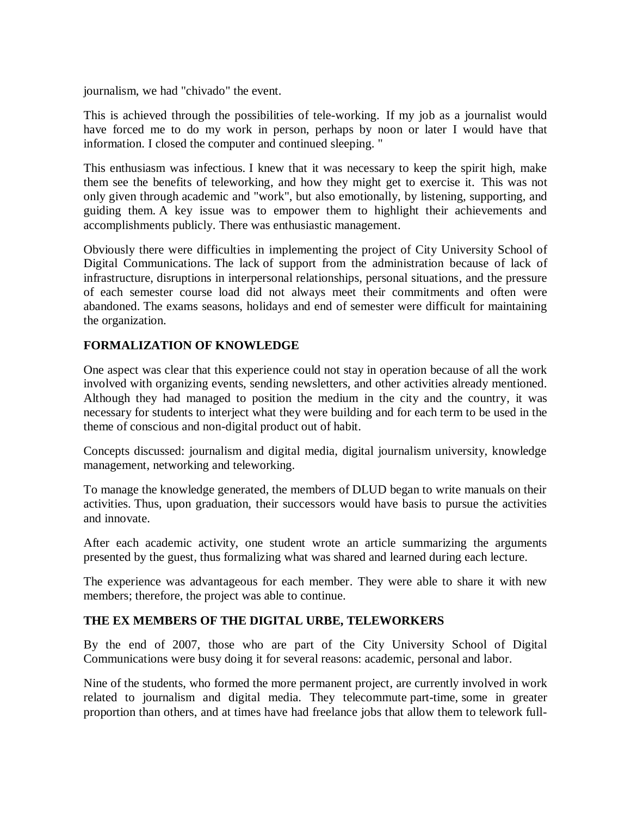journalism, we had "chivado" the event.

This is achieved through the possibilities of tele-working. If my job as a journalist would have forced me to do my work in person, perhaps by noon or later I would have that information. I closed the computer and continued sleeping. "

This enthusiasm was infectious. I knew that it was necessary to keep the spirit high, make them see the benefits of teleworking, and how they might get to exercise it. This was not only given through academic and "work", but also emotionally, by listening, supporting, and guiding them. A key issue was to empower them to highlight their achievements and accomplishments publicly. There was enthusiastic management.

Obviously there were difficulties in implementing the project of City University School of Digital Communications. The lack of support from the administration because of lack of infrastructure, disruptions in interpersonal relationships, personal situations, and the pressure of each semester course load did not always meet their commitments and often were abandoned. The exams seasons, holidays and end of semester were difficult for maintaining the organization.

## **FORMALIZATION OF KNOWLEDGE**

One aspect was clear that this experience could not stay in operation because of all the work involved with organizing events, sending newsletters, and other activities already mentioned. Although they had managed to position the medium in the city and the country, it was necessary for students to interject what they were building and for each term to be used in the theme of conscious and non-digital product out of habit.

Concepts discussed: journalism and digital media, digital journalism university, knowledge management, networking and teleworking.

To manage the knowledge generated, the members of DLUD began to write manuals on their activities. Thus, upon graduation, their successors would have basis to pursue the activities and innovate.

After each academic activity, one student wrote an article summarizing the arguments presented by the guest, thus formalizing what was shared and learned during each lecture.

The experience was advantageous for each member. They were able to share it with new members; therefore, the project was able to continue.

### **THE EX MEMBERS OF THE DIGITAL URBE, TELEWORKERS**

By the end of 2007, those who are part of the City University School of Digital Communications were busy doing it for several reasons: academic, personal and labor.

Nine of the students, who formed the more permanent project, are currently involved in work related to journalism and digital media. They telecommute part-time, some in greater proportion than others, and at times have had freelance jobs that allow them to telework full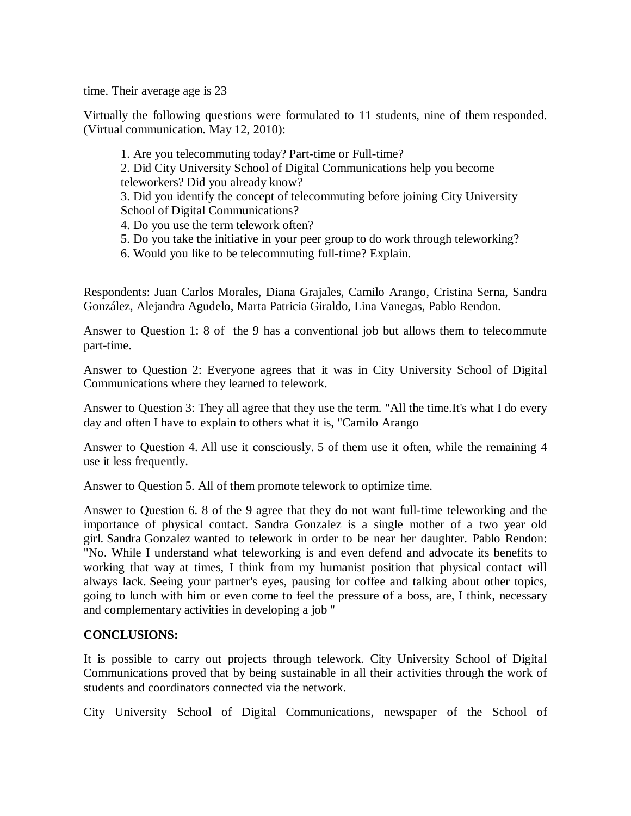time. Their average age is 23

Virtually the following questions were formulated to 11 students, nine of them responded. (Virtual communication. May 12, 2010):

1. Are you telecommuting today? Part-time or Full-time? 2. Did City University School of Digital Communications help you become teleworkers? Did you already know? 3. Did you identify the concept of telecommuting before joining City University School of Digital Communications?

- 4. Do you use the term telework often?
- 5. Do you take the initiative in your peer group to do work through teleworking?
- 6. Would you like to be telecommuting full-time? Explain.

Respondents: Juan Carlos Morales, Diana Grajales, Camilo Arango, Cristina Serna, Sandra González, Alejandra Agudelo, Marta Patricia Giraldo, Lina Vanegas, Pablo Rendon.

Answer to Question 1: 8 of the 9 has a conventional job but allows them to telecommute part-time.

Answer to Question 2: Everyone agrees that it was in City University School of Digital Communications where they learned to telework.

Answer to Question 3: They all agree that they use the term. "All the time.It's what I do every day and often I have to explain to others what it is, "Camilo Arango

Answer to Question 4. All use it consciously. 5 of them use it often, while the remaining 4 use it less frequently.

Answer to Question 5. All of them promote telework to optimize time.

Answer to Question 6. 8 of the 9 agree that they do not want full-time teleworking and the importance of physical contact. Sandra Gonzalez is a single mother of a two year old girl. Sandra Gonzalez wanted to telework in order to be near her daughter. Pablo Rendon: "No. While I understand what teleworking is and even defend and advocate its benefits to working that way at times, I think from my humanist position that physical contact will always lack. Seeing your partner's eyes, pausing for coffee and talking about other topics, going to lunch with him or even come to feel the pressure of a boss, are, I think, necessary and complementary activities in developing a job "

### **CONCLUSIONS:**

It is possible to carry out projects through telework. City University School of Digital Communications proved that by being sustainable in all their activities through the work of students and coordinators connected via the network.

City University School of Digital Communications, newspaper of the School of